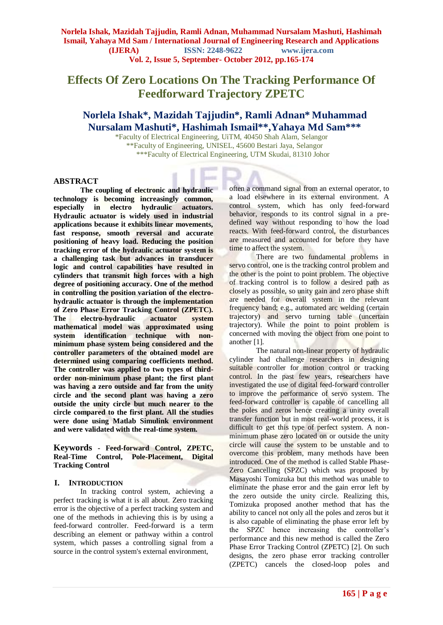## **Effects Of Zero Locations On The Tracking Performance Of Feedforward Trajectory ZPETC**

### **Norlela Ishak\*, Mazidah Tajjudin\*, Ramli Adnan\* Muhammad Nursalam Mashuti\*, Hashimah Ismail\*\*,Yahaya Md Sam\*\*\***

\*Faculty of Electrical Engineering, UiTM, 40450 Shah Alam, Selangor \*\*Faculty of Engineering, UNISEL, 45600 Bestari Jaya, Selangor \*\*\*Faculty of Electrical Engineering, UTM Skudai, 81310 Johor

#### **ABSTRACT**

**The coupling of electronic and hydraulic technology is becoming increasingly common, especially in electro hydraulic actuators. Hydraulic actuator is widely used in industrial applications because it exhibits linear movements, fast response, smooth reversal and accurate positioning of heavy load. Reducing the position tracking error of the hydraulic actuator system is a challenging task but advances in transducer logic and control capabilities have resulted in cylinders that transmit high forces with a high degree of positioning accuracy. One of the method in controlling the position variation of the electrohydraulic actuator is through the implementation of Zero Phase Error Tracking Control (ZPETC). The electro-hydraulic actuator system mathematical model was approximated using system identification technique with nonminimum phase system being considered and the controller parameters of the obtained model are determined using comparing coefficients method. The controller was applied to two types of thirdorder non-minimum phase plant; the first plant was having a zero outside and far from the unity circle and the second plant was having a zero outside the unity circle but much nearer to the circle compared to the first plant. All the studies were done using Matlab Simulink environment and were validated with the real-time system.**

**Keywords - Feed-forward Control, ZPETC, Real-Time Control, Pole-Placement, Digital Tracking Control**

### **I. INTRODUCTION**

In tracking control system, achieving a perfect tracking is what it is all about. Zero tracking error is the objective of a perfect tracking system and one of the methods in achieving this is by using a feed-forward controller. Feed-forward is a term describing an element or pathway within a control system, which passes a controlling signal from a source in the control system's external environment,

often a command signal from an external operator, to a load elsewhere in its external environment. A control system, which has only feed-forward behavior, responds to its control signal in a predefined way without responding to how the load reacts. With feed-forward control, the disturbances are measured and accounted for before they have time to affect the system.

There are two fundamental problems in servo control, one is the tracking control problem and the other is the point to point problem. The objective of tracking control is to follow a desired path as closely as possible, so unity gain and zero phase shift are needed for overall system in the relevant frequency band; e.g., automated arc welding (certain trajectory) and servo turning table (uncertain trajectory). While the point to point problem is concerned with moving the object from one point to another [1].

The natural non-linear property of hydraulic cylinder had challenge researchers in designing suitable controller for motion control or tracking control. In the past few years, researchers have investigated the use of digital feed-forward controller to improve the performance of servo system. The feed-forward controller is capable of cancelling all the poles and zeros hence creating a unity overall transfer function but in most real-world process, it is difficult to get this type of perfect system. A nonminimum phase zero located on or outside the unity circle will cause the system to be unstable and to overcome this problem, many methods have been introduced. One of the method is called Stable Phase-Zero Cancelling (SPZC) which was proposed by Masayoshi Tomizuka but this method was unable to eliminate the phase error and the gain error left by the zero outside the unity circle. Realizing this, Tomizuka proposed another method that has the ability to cancel not only all the poles and zeros but it is also capable of eliminating the phase error left by the SPZC hence increasing the controller's performance and this new method is called the Zero Phase Error Tracking Control (ZPETC) [2]. On such designs, the zero phase error tracking controller (ZPETC) cancels the closed-loop poles and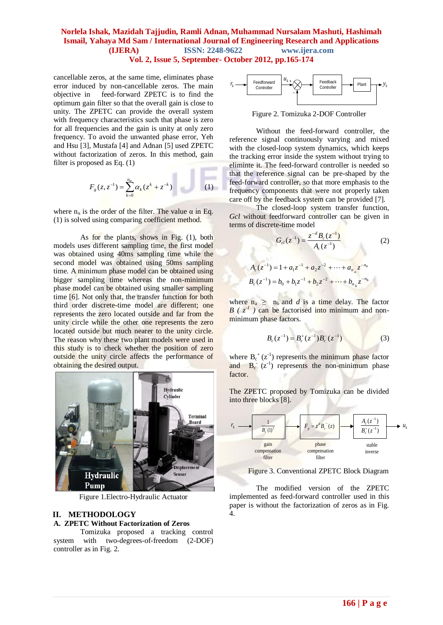cancellable zeros, at the same time, eliminates phase error induced by non-cancellable zeros. The main objective in feed-forward ZPETC is to find the optimum gain filter so that the overall gain is close to unity. The ZPETC can provide the overall system with frequency characteristics such that phase is zero for all frequencies and the gain is unity at only zero frequency. To avoid the unwanted phase error, Yeh and Hsu [3], Mustafa [4] and Adnan [5] used ZPETC without factorization of zeros. In this method, gain filter is proposed as Eq. (1)

$$
F_g(z, z^{-1}) = \sum_{k=0}^{n_a} \alpha_k (z^k + z^{-k})
$$
 (1)

u.

where  $n_{\alpha}$  is the order of the filter. The value  $\alpha$  in Eq. (1) is solved using comparing coefficient method.

As for the plants, shows in Fig. (1), both models uses different sampling time, the first model was obtained using 40ms sampling time while the second model was obtained using 50ms sampling time. A minimum phase model can be obtained using bigger sampling time whereas the non-minimum phase model can be obtained using smaller sampling time [6]. Not only that, the transfer function for both third order discrete-time model are different; one represents the zero located outside and far from the unity circle while the other one represents the zero located outside but much nearer to the unity circle. The reason why these two plant models were used in this study is to check whether the position of zero outside the unity circle affects the performance of obtaining the desired output.



Figure 1.Electro-Hydraulic Actuator

#### **II. METHODOLOGY**

#### **A. ZPETC Without Factorization of Zeros**

Tomizuka proposed a tracking control system with two-degrees-of-freedom (2-DOF) controller as in Fig. 2.



Figure 2. Tomizuka 2-DOF Controller

Without the feed-forward controller, the reference signal continuously varying and mixed with the closed-loop system dynamics, which keeps the tracking error inside the system without trying to eliminte it. The feed-forward controller is needed so that the reference signal can be pre-shaped by the feed-forward controller, so that more emphasis to the frequency components that were not properly taken care off by the feedback system can be provided [7].

The closed-loop system transfer function, *Gcl* without feedforward controller can be given in terms of discrete-time model

$$
G_{cl}(z^{-1}) = \frac{z^{-d} B_c(z^{-1})}{A_c(z^{-1})}
$$
(2)  

$$
A_c(z^{-1}) = 1 + a_1 z^{-1} + a_2 z^{-2} + \dots + a_{n_a} z^{-n_a}
$$

$$
B_c(z^{-1}) = b_0 + b_1 z^{-1} + b_2 z^{-2} + \dots + b_{n_b} z^{-n_b}
$$

where  $n_a \geq n_b$  and *d* is a time delay. The factor  $B$  ( $z^{-1}$ ) can be factorised into minimum and nonminimum phase factors.

$$
B_c(z^{-1}) = B_c^+(z^{-1})B_c^-(z^{-1})
$$
 (3)

where  $B_c^+(z^1)$  represents the minimum phase factor and  $B_c$  ( $z^{-1}$ ) represents the non-minimum phase factor.

The ZPETC proposed by Tomizuka can be divided into three blocks [8].



Figure 3. Conventional ZPETC Block Diagram

The modified version of the ZPETC implemented as feed-forward controller used in this paper is without the factorization of zeros as in Fig. 4.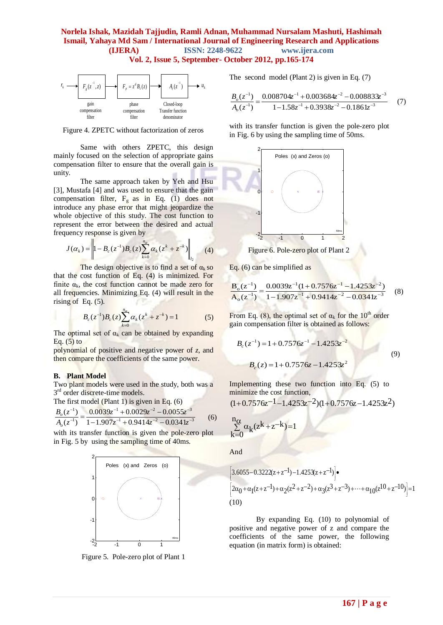

Figure 4. ZPETC without factorization of zeros

Same with others ZPETC, this design mainly focused on the selection of appropriate gains compensation filter to ensure that the overall gain is unity.

The same approach taken by Yeh and Hsu [3], Mustafa [4] and was used to ensure that the gain compensation filter,  $F_g$  as in Eq. (1) does not introduce any phase error that might jeopardize the whole objective of this study. The cost function to represent the error between the desired and actual frequency response is given by

$$
J(\alpha_k) = \left\| 1 - B_c(z^{-1}) B_c(z) \sum_{k=0}^{n_{\alpha}} \alpha_k (z^k + z^{-k}) \right\|_{l_2}
$$
 (4)

The design objective is to find a set of  $\alpha_k$  so that the cost function of Eq. (4) is minimized. For finite  $\alpha_k$ , the cost function cannot be made zero for all frequencies. Minimizing Eq. (4) will result in the rising of Eq.  $(5)$ .

$$
B_c(z^{-1})B_c(z)\sum_{k=0}^{n_{\alpha}}\alpha_k(z^k+z^{-k})=1
$$
 (5)

The optimal set of  $\alpha_k$  can be obtained by expanding Eq.  $(5)$  to

polynomial of positive and negative power of *z*, and then compare the coefficients of the same power.

#### **B. Plant Model**

Two plant models were used in the study, both was a 3<sup>rd</sup> order discrete-time models.

The first model (Plant 1) is given in Eq. (6)

$$
\frac{B_o(z^{-1})}{A_o(z^{-1})} = \frac{0.0039z^{-1} + 0.0029z^{-2} - 0.0055z^{-3}}{1 - 1.907z^{-1} + 0.9414z^{-2} - 0.0341z^{-3}}
$$
(6)

with its transfer function is given the pole-zero plot in Fig. 5 by using the sampling time of 40ms.



Figure 5. Pole-zero plot of Plant 1

The second model (Plant 2) is given in Eq. (7)

$$
\frac{B_o(z^{-1})}{A_o(z^{-1})} = \frac{0.008704z^{-1} + 0.003684z^{-2} - 0.008833z^{-3}}{1 - 1.58z^{-1} + 0.3938z^{-2} - 0.1861z^{-3}}
$$
(7)

with its transfer function is given the pole-zero plot in Fig. 6 by using the sampling time of 50ms.



Figure 6. Pole-zero plot of Plant 2

Eq. (6) can be simplified as

$$
\frac{\mathbf{B}_{\text{o}}(z^{-1})}{\mathbf{A}_{\text{o}}(z^{-1})} = \frac{0.0039z^{-1}(1+0.7576z^{-1}-1.4253z^{-2})}{1-1.907z^{-1}+0.9414z^{-2}-0.0341z^{-3}}
$$
(8)

From Eq. (8), the optimal set of  $\alpha_k$  for the 10<sup>th</sup> order gain compensation filter is obtained as follows:

$$
B_c(z^{-1}) = 1 + 0.7576z^{-1} - 1.4253z^{-2}
$$
  
\n
$$
B_c(z) = 1 + 0.7576z - 1.4253z^2
$$
\n(9)

Implementing these two function into Eq. (5) to minimize the cost function,

$$
(1+0.7576z^{-1}-1.4253z^{-2})(1+0.7576z-1.4253z^{2})
$$

$$
\sum_{k=0}^{n_{\alpha}}\alpha_k(z^k+z^{-k})=1
$$

And

$$
\begin{aligned}\n&\left[3.6055-0.3222(z+z^{-1})-1.4253(z+z^{-1})\right]\bullet \\
&\left[2\alpha_0+\alpha_1(z+z^{-1})+\alpha_2(z^2+z^{-2})+\alpha_3(z^3+z^{-3})+\cdots+\alpha_{10}(z^{10}+z^{-10})\right]=1 \\
&(10)\n\end{aligned}
$$

By expanding Eq. (10) to polynomial of positive and negative power of z and compare the coefficients of the same power, the following equation (in matrix form) is obtained: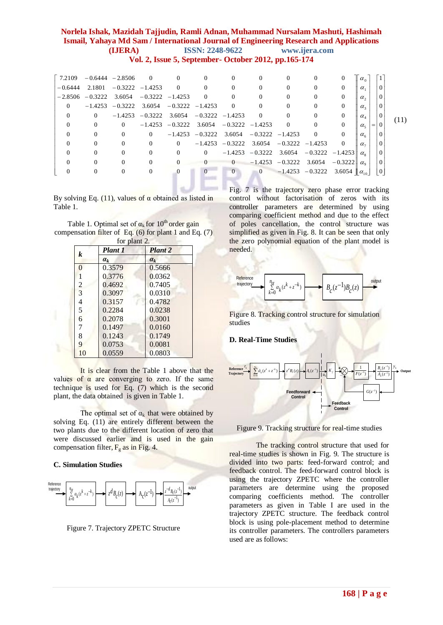| 7.2109    | $-0.6444 - 2.8506$                   |                            | $\overline{\mathbf{0}}$ | $\overline{0}$                                 | $\Omega$                                       | $\theta$       | $\Omega$       | $\Omega$                                       | $\Omega$       | 0              | $\parallel \alpha_{0}$           |     |          |      |
|-----------|--------------------------------------|----------------------------|-------------------------|------------------------------------------------|------------------------------------------------|----------------|----------------|------------------------------------------------|----------------|----------------|----------------------------------|-----|----------|------|
| $-0.6444$ |                                      | $2.1801 - 0.3222 - 1.4253$ |                         | $\overline{0}$                                 | $\overline{0}$                                 | $\Omega$       | $\overline{0}$ | $\Omega$                                       | 0              | $\Omega$       | $\alpha_{1}$                     |     | $\Omega$ |      |
| $-2.8506$ | $-0.3222$ 3.6054 $-0.3222$ $-1.4253$ |                            |                         |                                                | $\overline{0}$                                 | $\overline{0}$ | $\Omega$       | $\Omega$                                       | $\mathbf{0}$   | $\Omega$       | $\alpha$ ,                       |     | $\Omega$ |      |
| $\Omega$  |                                      |                            |                         | $-1.4253 -0.3222$ 3.6054 $-0.3222 -1.4253$     |                                                | $\overline{0}$ | $\overline{0}$ | $\overline{0}$                                 | $\Omega$       | $\Omega$       | $\alpha_{3}$                     |     | $\Omega$ |      |
| $\theta$  | $\Omega$                             |                            |                         | $-1.4253$ $-0.3222$ 3.6054 $-0.3222$ $-1.4253$ |                                                |                | $\overline{0}$ | $\overline{0}$                                 | $\mathbf{0}$   | $\Omega$       | $\alpha_{\scriptscriptstyle{A}}$ |     | $\Omega$ |      |
| $\theta$  | $\theta$                             | $\Omega$                   |                         | $-1.4253 -0.3222$ 3.6054 $-0.3222 -1.4253$     |                                                |                |                | $\overline{0}$                                 | $\overline{0}$ | $\Omega$       | $\alpha_{\varsigma}$             | $=$ | $\Omega$ | (11) |
| $\theta$  | $\Omega$                             | $\Omega$                   | $\Omega$                |                                                | $-1.4253$ $-0.3222$ 3.6054 $-0.3222$ $-1.4253$ |                |                |                                                | $\overline{0}$ | $\theta$       | $\alpha_{\kappa}$                |     |          |      |
| $\theta$  | $\Omega$                             | $\Omega$                   | $\theta$                | $\Omega$                                       |                                                |                |                | $-1.4253$ $-0.3222$ 3.6054 $-0.3222$ $-1.4253$ |                | $\overline{0}$ | $\alpha$ -                       |     |          |      |
| $\Omega$  | $\Omega$                             | $\theta$                   | $\Omega$                | $\Omega$                                       | $\Omega$                                       |                |                | $-1.4253$ $-0.3222$ 3.6054 $-0.3222$ $-1.4253$ |                |                | $\alpha_{\circ}$                 |     |          |      |
| $\Omega$  | $\theta$                             | $\Omega$                   | $\theta$                | $\theta$                                       | $\overline{0}$                                 | $\overline{0}$ |                | $-1.4253 -0.3222$ 3.6054 $-0.3222$             |                |                | $\alpha_{\rm o}$                 |     |          |      |
| $\theta$  | $\Omega$                             | $\Omega$                   | $\mathbf{0}$            | $\left($                                       | $\Omega$                                       | $\overline{0}$ |                | 0 $-1.4253$ $-0.3222$ 3.6054 $\alpha_{10}$     |                |                |                                  |     |          |      |
|           |                                      |                            |                         |                                                |                                                |                |                |                                                |                |                |                                  |     |          |      |

By solving Eq. (11), values of  $\alpha$  obtained as listed in Table 1.

l s.

Table 1. Optimal set of  $\alpha_k$  for 10<sup>th</sup> order gain compensation filter of Eq.  $(6)$  for plant 1 and Eq.  $(7)$ 

| for plant 2.   |         |                |  |  |  |
|----------------|---------|----------------|--|--|--|
| k              | Plant 1 | <b>Plant 2</b> |  |  |  |
|                | $a_k$   | $a_k$          |  |  |  |
| $\Omega$       | 0.3579  | 0.5666         |  |  |  |
|                | 0.3776  | 0.0362         |  |  |  |
| $\overline{2}$ | 0.4692  | 0.7405         |  |  |  |
| 3              | 0.3097  | 0.0310         |  |  |  |
| 4              | 0.3157  | 0.4782         |  |  |  |
| 5              | 0.2284  | 0.0238         |  |  |  |
| 6              | 0.2078  | 0.3001         |  |  |  |
| 7              | 0.1497  | 0.0160         |  |  |  |
| 8              | 0.1243  | 0.1749         |  |  |  |
| q              | 0.0753  | 0.0081         |  |  |  |
| 10             | 0.0559  | 0.0803         |  |  |  |

It is clear from the Table 1 above that the values of  $\alpha$  are converging to zero. If the same technique is used for Eq. (7) which is the second plant, the data obtained is given in Table 1.

The optimal set of  $\alpha_k$  that were obtained by solving Eq. (11) are entirely different between the two plants due to the different location of zero that were discussed earlier and is used in the gain compensation filter,  $F_g$  as in Fig. 4.

#### **C. Simulation Studies**



Figure 7. Trajectory ZPETC Structure

Fig. 7 is the trajectory zero phase error tracking control without factorisation of zeros with its controller parameters are determined by using comparing coefficient method and due to the effect of poles cancellation, the control structure was simplified as given in Fig. 8. It can be seen that only the zero polynomial equation of the plant model is needed.



Figure 8. Tracking control structure for simulation studies

#### **D. Real-Time Studies**



Figure 9. Tracking structure for real-time studies

The tracking control structure that used for real-time studies is shown in Fig. 9. The structure is divided into two parts: feed-forward control; and feedback control. The feed-forward control block is using the trajectory ZPETC where the controller parameters are determine using the proposed comparing coefficients method. The controller parameters as given in Table I are used in the trajectory ZPETC structure. The feedback control block is using pole-placement method to determine its controller parameters. The controllers parameters used are as follows: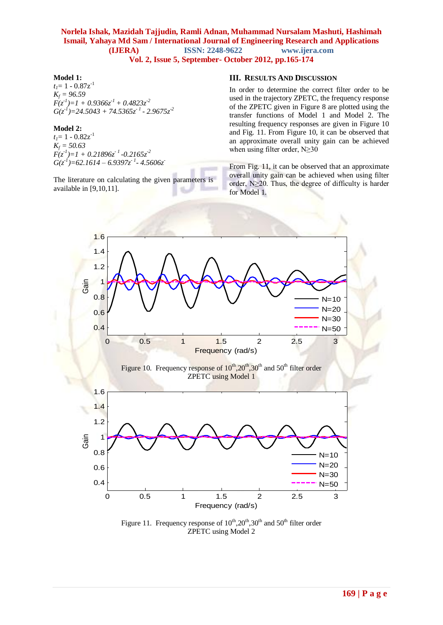#### **Model 1:**

 $t_1 = 1 - 0.87z^{-1}$ *K<sup>f</sup> = 96.59*  $F(z<sup>-1</sup>)=1 + 0.9366z<sup>-1</sup> + 0.4823z<sup>-2</sup>$ *G(z-1 )=24.5043 + 74.5365z- <sup>1</sup> - 2.9675z-2*

#### **Model 2:**

 $t<sub>I</sub>=1 - 0.82z<sup>-1</sup>$ *K<sup>f</sup> = 50.63 F(z-1 )=1 + 0.21896z- <sup>1</sup> -0.2165z-2 G(z-1 )=62.1614 – 6.9397z- <sup>1</sup> - 4.5606z-*

The literature on calculating the given parameters is available in [9,10,11].

#### **III. RESULTS AND DISCUSSION**

In order to determine the correct filter order to be used in the trajectory ZPETC, the frequency response of the ZPETC given in Figure 8 are plotted using the transfer functions of Model 1 and Model 2. The resulting frequency responses are given in Figure 10 and Fig. 11. From Figure 10, it can be observed that an approximate overall unity gain can be achieved when using filter order, N≥30

From Fig. 11, it can be observed that an approximate overall unity gain can be achieved when using filter order, N≥20. Thus, the degree of difficulty is harder for Model 1.



Figure 11. Frequency response of  $10^{th}$ ,  $20^{th}$ ,  $30^{th}$  and  $50^{th}$  filter order ZPETC using Model 2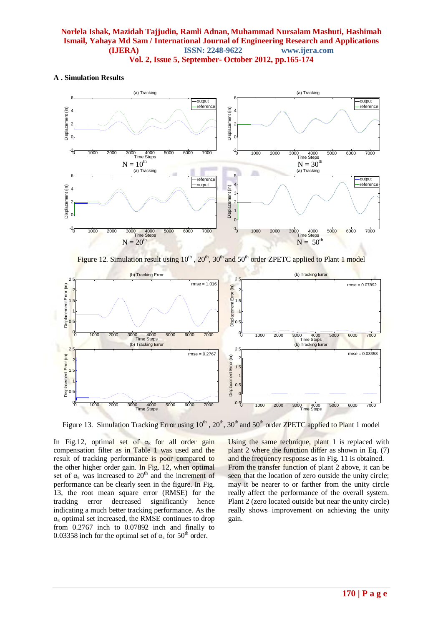#### **A . Simulation Results**



Figure 12. Simulation result using  $10^{th}$ ,  $20^{th}$ ,  $30^{th}$  and  $50^{th}$  order ZPETC applied to Plant 1 model



Figure 13. Simulation Tracking Error using  $10^{th}$ ,  $20^{th}$ ,  $30^{th}$  and  $50^{th}$  order ZPETC applied to Plant 1 model

In Fig.12, optimal set of  $\alpha_k$  for all order gain compensation filter as in Table 1 was used and the result of tracking performance is poor compared to the other higher order gain. In Fig. 12, when optimal set of  $\alpha_k$  was increased to 20<sup>th</sup> and the increment of performance can be clearly seen in the figure. In Fig. 13, the root mean square error (RMSE) for the tracking error decreased significantly hence indicating a much better tracking performance. As the  $\alpha_k$  optimal set increased, the RMSE continues to drop from 0.2767 inch to 0.07892 inch and finally to 0.03358 inch for the optimal set of  $\alpha_k$  for 50<sup>th</sup> order.

Using the same technique, plant 1 is replaced with plant 2 where the function differ as shown in Eq. (7) and the frequency response as in Fig. 11 is obtained. From the transfer function of plant 2 above, it can be seen that the location of zero outside the unity circle; may it be nearer to or farther from the unity circle really affect the performance of the overall system. Plant 2 (zero located outside but near the unity circle) really shows improvement on achieving the unity gain.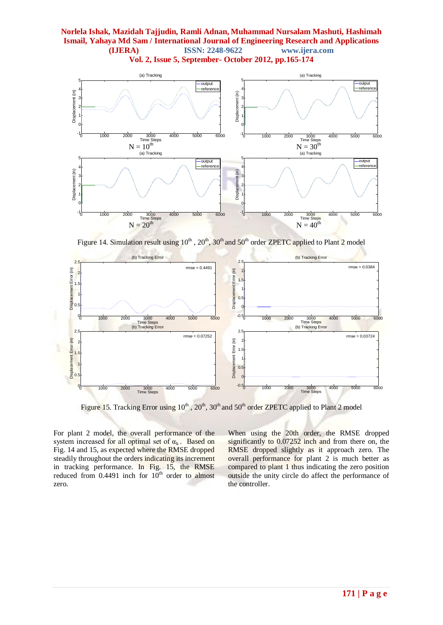

Figure 14. Simulation result using 10<sup>th</sup>, 20<sup>th</sup>, 30<sup>th</sup> and 50<sup>th</sup> order ZPETC applied to Plant 2 model



Figure 15. Tracking Error using 10<sup>th</sup>, 20<sup>th</sup>, 30<sup>th</sup> and 50<sup>th</sup> order ZPETC applied to Plant 2 model

For plant 2 model, the overall performance of the system increased for all optimal set of  $\alpha_k$ . Based on Fig. 14 and 15, as expected where the RMSE dropped steadily throughout the orders indicating its increment in tracking performance. In Fig. 15, the RMSE reduced from  $0.4491$  inch for  $10<sup>th</sup>$  order to almost zero.

When using the 20th order, the RMSE dropped significantly to 0.07252 inch and from there on, the RMSE dropped slightly as it approach zero. The overall performance for plant 2 is much better as compared to plant 1 thus indicating the zero position outside the unity circle do affect the performance of the controller.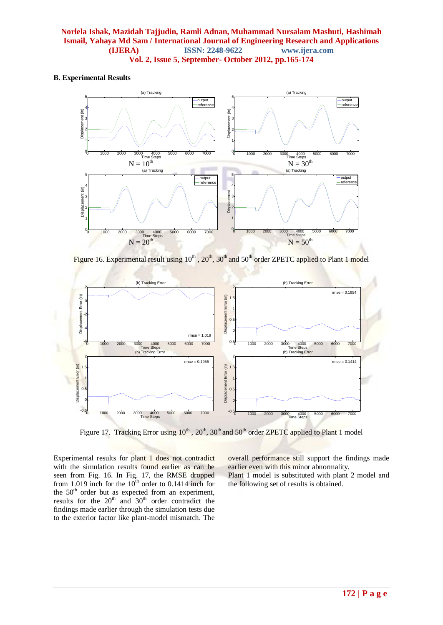#### **B. Experimental Results**



Figure 16. Experimental result using 10<sup>th</sup>, 20<sup>th</sup>, 30<sup>th</sup> and 50<sup>th</sup> order ZPETC applied to Plant 1 model



Figure 17. Tracking Error using 10<sup>th</sup>, 20<sup>th</sup>, 30<sup>th</sup> and 50<sup>th</sup> order ZPETC applied to Plant 1 model

Experimental results for plant 1 does not contradict with the simulation results found earlier as can be seen from Fig. 16. In Fig. 17, the RMSE dropped from 1.019 inch for the  $10<sup>th</sup>$  order to 0.1414 inch for the 50<sup>th</sup> order but as expected from an experiment, results for the  $20<sup>th</sup>$  and  $30<sup>th</sup>$  order contradict the findings made earlier through the simulation tests due to the exterior factor like plant-model mismatch. The overall performance still support the findings made earlier even with this minor abnormality. Plant 1 model is substituted with plant 2 model and the following set of results is obtained.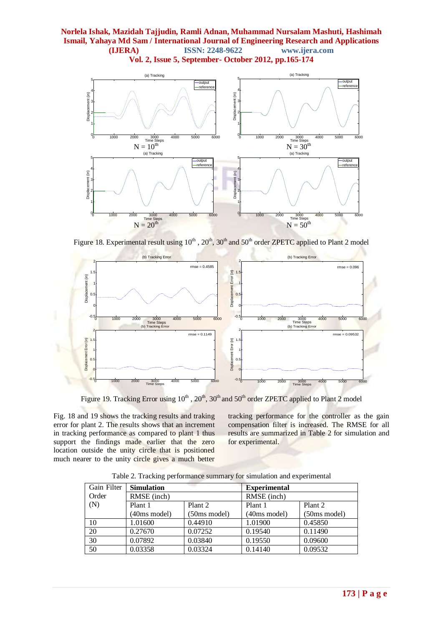

Figure 18. Experimental result using 10<sup>th</sup>, 20<sup>th</sup>, 30<sup>th</sup> and 50<sup>th</sup> order ZPETC applied to Plant 2 model



Figure 19. Tracking Error using  $10^{th}$ ,  $20^{th}$ ,  $30^{th}$  and  $50^{th}$  order ZPETC applied to Plant 2 model

Fig. 18 and 19 shows the tracking results and traking error for plant 2. The results shows that an increment in tracking performance as compared to plant 1 thus support the findings made earlier that the zero location outside the unity circle that is positioned much nearer to the unity circle gives a much better

tracking performance for the controller as the gain compensation filter is increased. The RMSE for all results are summarized in Table 2 for simulation and for experimental.

| Gain Filter | <b>Simulation</b>      |                    | <b>Experimental</b> |                    |  |  |  |
|-------------|------------------------|--------------------|---------------------|--------------------|--|--|--|
| Order       | RMSE (inch)            |                    | RMSE (inch)         |                    |  |  |  |
| (N)         | Plant 1                | Plant <sub>2</sub> | Plant 1             | Plant <sub>2</sub> |  |  |  |
|             | $(40ms \text{ model})$ | (50ms model)       | (40ms model)        | (50ms model)       |  |  |  |
| 10          | 1.01600                | 0.44910            | 1.01900             | 0.45850            |  |  |  |
| 20          | 0.27670                | 0.07252            | 0.19540             | 0.11490            |  |  |  |
| 30          | 0.07892                | 0.03840            | 0.19550             | 0.09600            |  |  |  |
| 50          | 0.03358                | 0.03324            | 0.14140             | 0.09532            |  |  |  |

Table 2. Tracking performance summary for simulation and experimental